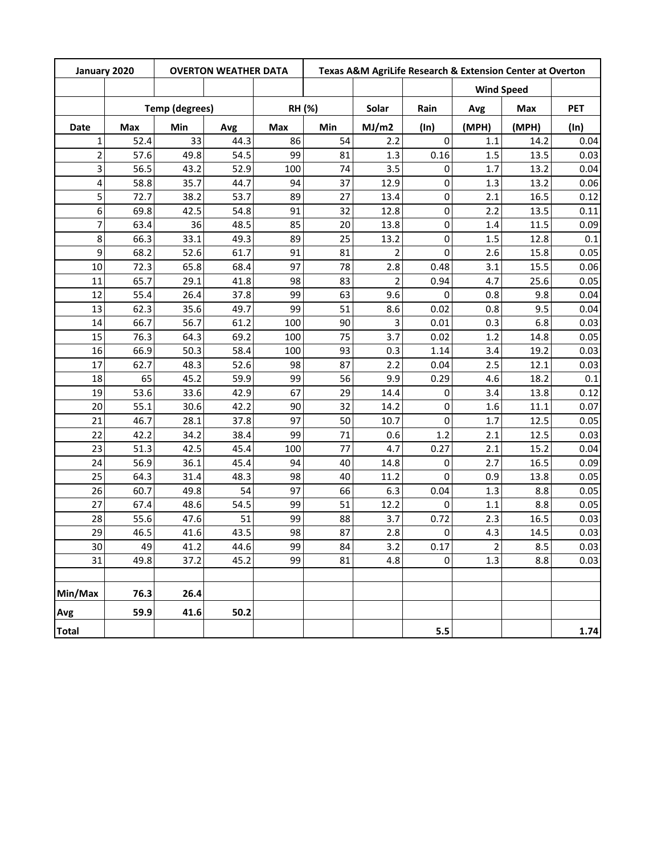| January 2020            |      |                       | <b>OVERTON WEATHER DATA</b> |     | Texas A&M AgriLife Research & Extension Center at Overton |                |             |                   |       |            |  |  |
|-------------------------|------|-----------------------|-----------------------------|-----|-----------------------------------------------------------|----------------|-------------|-------------------|-------|------------|--|--|
|                         |      |                       |                             |     |                                                           |                |             | <b>Wind Speed</b> |       |            |  |  |
|                         |      | <b>Temp (degrees)</b> |                             |     | RH (%)                                                    | Solar          | Rain        | Avg               | Max   | <b>PET</b> |  |  |
| <b>Date</b>             | Max  | Min                   | Avg                         | Max | Min                                                       | MJ/m2          | (ln)        | (MPH)             | (MPH) | (ln)       |  |  |
| $\mathbf{1}$            | 52.4 | 33                    | 44.3                        | 86  | 54                                                        | 2.2            | $\mathbf 0$ | 1.1               | 14.2  | 0.04       |  |  |
| $\overline{2}$          | 57.6 | 49.8                  | 54.5                        | 99  | 81                                                        | 1.3            | 0.16        | 1.5               | 13.5  | 0.03       |  |  |
| 3                       | 56.5 | 43.2                  | 52.9                        | 100 | 74                                                        | 3.5            | 0           | 1.7               | 13.2  | 0.04       |  |  |
| $\overline{\mathbf{4}}$ | 58.8 | 35.7                  | 44.7                        | 94  | 37                                                        | 12.9           | 0           | 1.3               | 13.2  | 0.06       |  |  |
| 5                       | 72.7 | 38.2                  | 53.7                        | 89  | 27                                                        | 13.4           | 0           | 2.1               | 16.5  | 0.12       |  |  |
| 6                       | 69.8 | 42.5                  | 54.8                        | 91  | 32                                                        | 12.8           | 0           | 2.2               | 13.5  | 0.11       |  |  |
| 7                       | 63.4 | 36                    | 48.5                        | 85  | 20                                                        | 13.8           | 0           | 1.4               | 11.5  | 0.09       |  |  |
| 8                       | 66.3 | 33.1                  | 49.3                        | 89  | 25                                                        | 13.2           | 0           | 1.5               | 12.8  | 0.1        |  |  |
| 9                       | 68.2 | 52.6                  | 61.7                        | 91  | 81                                                        | $\overline{2}$ | 0           | 2.6               | 15.8  | 0.05       |  |  |
| 10                      | 72.3 | 65.8                  | 68.4                        | 97  | 78                                                        | 2.8            | 0.48        | 3.1               | 15.5  | 0.06       |  |  |
| 11                      | 65.7 | 29.1                  | 41.8                        | 98  | 83                                                        | 2              | 0.94        | 4.7               | 25.6  | 0.05       |  |  |
| 12                      | 55.4 | 26.4                  | 37.8                        | 99  | 63                                                        | 9.6            | 0           | 0.8               | 9.8   | 0.04       |  |  |
| 13                      | 62.3 | 35.6                  | 49.7                        | 99  | 51                                                        | 8.6            | 0.02        | 0.8               | 9.5   | 0.04       |  |  |
| 14                      | 66.7 | 56.7                  | 61.2                        | 100 | 90                                                        | 3              | 0.01        | 0.3               | 6.8   | 0.03       |  |  |
| 15                      | 76.3 | 64.3                  | 69.2                        | 100 | 75                                                        | 3.7            | 0.02        | 1.2               | 14.8  | 0.05       |  |  |
| 16                      | 66.9 | 50.3                  | 58.4                        | 100 | 93                                                        | 0.3            | 1.14        | 3.4               | 19.2  | 0.03       |  |  |
| 17                      | 62.7 | 48.3                  | 52.6                        | 98  | 87                                                        | 2.2            | 0.04        | 2.5               | 12.1  | 0.03       |  |  |
| 18                      | 65   | 45.2                  | 59.9                        | 99  | 56                                                        | 9.9            | 0.29        | 4.6               | 18.2  | 0.1        |  |  |
| 19                      | 53.6 | 33.6                  | 42.9                        | 67  | 29                                                        | 14.4           | 0           | 3.4               | 13.8  | 0.12       |  |  |
| 20                      | 55.1 | 30.6                  | 42.2                        | 90  | 32                                                        | 14.2           | 0           | 1.6               | 11.1  | 0.07       |  |  |
| 21                      | 46.7 | 28.1                  | 37.8                        | 97  | 50                                                        | 10.7           | 0           | 1.7               | 12.5  | 0.05       |  |  |
| 22                      | 42.2 | 34.2                  | 38.4                        | 99  | 71                                                        | 0.6            | 1.2         | 2.1               | 12.5  | 0.03       |  |  |
| 23                      | 51.3 | 42.5                  | 45.4                        | 100 | 77                                                        | 4.7            | 0.27        | 2.1               | 15.2  | 0.04       |  |  |
| 24                      | 56.9 | 36.1                  | 45.4                        | 94  | 40                                                        | 14.8           | 0           | 2.7               | 16.5  | 0.09       |  |  |
| 25                      | 64.3 | 31.4                  | 48.3                        | 98  | 40                                                        | 11.2           | 0           | 0.9               | 13.8  | 0.05       |  |  |
| 26                      | 60.7 | 49.8                  | 54                          | 97  | 66                                                        | 6.3            | 0.04        | 1.3               | 8.8   | 0.05       |  |  |
| 27                      | 67.4 | 48.6                  | 54.5                        | 99  | 51                                                        | 12.2           | 0           | 1.1               | 8.8   | 0.05       |  |  |
| 28                      | 55.6 | 47.6                  | 51                          | 99  | 88                                                        | 3.7            | 0.72        | 2.3               | 16.5  | 0.03       |  |  |
| 29                      | 46.5 | 41.6                  | 43.5                        | 98  | 87                                                        | 2.8            | 0           | 4.3               | 14.5  | 0.03       |  |  |
| 30                      | 49   | 41.2                  | 44.6                        | 99  | 84                                                        | 3.2            | 0.17        | $\overline{2}$    | 8.5   | 0.03       |  |  |
| 31                      | 49.8 | 37.2                  | 45.2                        | 99  | 81                                                        | 4.8            | 0           | 1.3               | 8.8   | 0.03       |  |  |
|                         |      |                       |                             |     |                                                           |                |             |                   |       |            |  |  |
| Min/Max                 | 76.3 | 26.4                  |                             |     |                                                           |                |             |                   |       |            |  |  |
| Avg                     | 59.9 | 41.6                  | 50.2                        |     |                                                           |                |             |                   |       |            |  |  |
| <b>Total</b>            |      |                       |                             |     |                                                           |                | 5.5         |                   |       | 1.74       |  |  |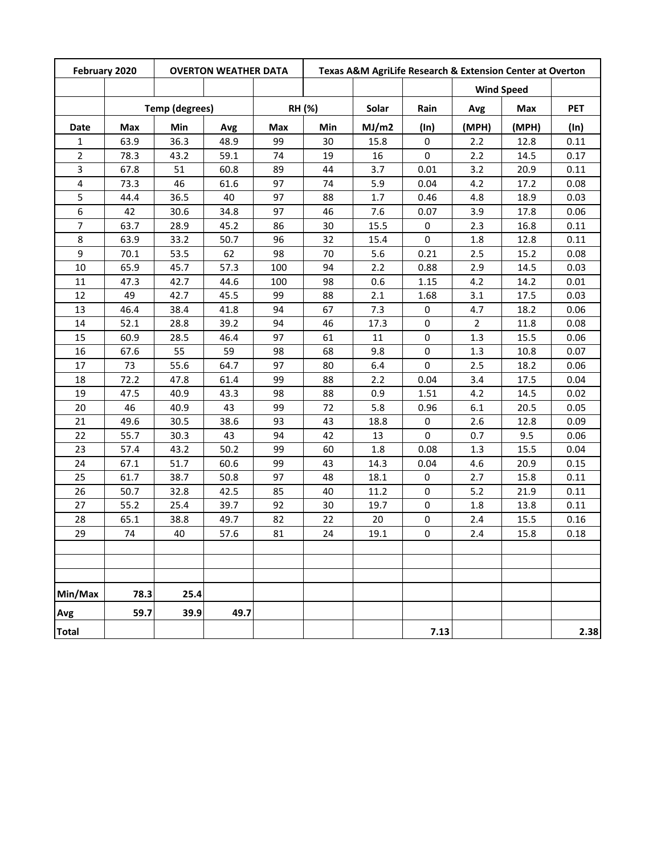| February 2020  | <b>OVERTON WEATHER DATA</b> |                       |      |     |        | Texas A&M AgriLife Research & Extension Center at Overton |         |                |                   |            |  |
|----------------|-----------------------------|-----------------------|------|-----|--------|-----------------------------------------------------------|---------|----------------|-------------------|------------|--|
|                |                             |                       |      |     |        |                                                           |         |                | <b>Wind Speed</b> |            |  |
|                |                             | <b>Temp (degrees)</b> |      |     | RH (%) | Solar                                                     | Rain    | Avg            | Max               | <b>PET</b> |  |
| <b>Date</b>    | Max                         | Min                   | Avg  | Max | Min    | MJ/m2                                                     | $(\ln)$ | (MPH)          | (MPH)             | (ln)       |  |
| 1              | 63.9                        | 36.3                  | 48.9 | 99  | 30     | 15.8                                                      | 0       | 2.2            | 12.8              | 0.11       |  |
| $\overline{2}$ | 78.3                        | 43.2                  | 59.1 | 74  | 19     | 16                                                        | 0       | 2.2            | 14.5              | 0.17       |  |
| 3              | 67.8                        | 51                    | 60.8 | 89  | 44     | 3.7                                                       | 0.01    | 3.2            | 20.9              | 0.11       |  |
| 4              | 73.3                        | 46                    | 61.6 | 97  | 74     | 5.9                                                       | 0.04    | 4.2            | 17.2              | 0.08       |  |
| 5              | 44.4                        | 36.5                  | 40   | 97  | 88     | 1.7                                                       | 0.46    | 4.8            | 18.9              | 0.03       |  |
| 6              | 42                          | 30.6                  | 34.8 | 97  | 46     | 7.6                                                       | 0.07    | 3.9            | 17.8              | 0.06       |  |
| $\overline{7}$ | 63.7                        | 28.9                  | 45.2 | 86  | 30     | 15.5                                                      | 0       | 2.3            | 16.8              | 0.11       |  |
| 8              | 63.9                        | 33.2                  | 50.7 | 96  | 32     | 15.4                                                      | 0       | 1.8            | 12.8              | 0.11       |  |
| 9              | 70.1                        | 53.5                  | 62   | 98  | 70     | 5.6                                                       | 0.21    | 2.5            | 15.2              | 0.08       |  |
| 10             | 65.9                        | 45.7                  | 57.3 | 100 | 94     | 2.2                                                       | 0.88    | 2.9            | 14.5              | 0.03       |  |
| 11             | 47.3                        | 42.7                  | 44.6 | 100 | 98     | 0.6                                                       | 1.15    | 4.2            | 14.2              | 0.01       |  |
| 12             | 49                          | 42.7                  | 45.5 | 99  | 88     | 2.1                                                       | 1.68    | 3.1            | 17.5              | 0.03       |  |
| 13             | 46.4                        | 38.4                  | 41.8 | 94  | 67     | 7.3                                                       | 0       | 4.7            | 18.2              | 0.06       |  |
| 14             | 52.1                        | 28.8                  | 39.2 | 94  | 46     | 17.3                                                      | 0       | $\overline{2}$ | 11.8              | 0.08       |  |
| 15             | 60.9                        | 28.5                  | 46.4 | 97  | 61     | 11                                                        | 0       | 1.3            | 15.5              | 0.06       |  |
| 16             | 67.6                        | 55                    | 59   | 98  | 68     | 9.8                                                       | 0       | 1.3            | 10.8              | 0.07       |  |
| 17             | 73                          | 55.6                  | 64.7 | 97  | 80     | 6.4                                                       | 0       | 2.5            | 18.2              | 0.06       |  |
| 18             | 72.2                        | 47.8                  | 61.4 | 99  | 88     | 2.2                                                       | 0.04    | 3.4            | 17.5              | 0.04       |  |
| 19             | 47.5                        | 40.9                  | 43.3 | 98  | 88     | 0.9                                                       | 1.51    | 4.2            | 14.5              | 0.02       |  |
| 20             | 46                          | 40.9                  | 43   | 99  | 72     | 5.8                                                       | 0.96    | 6.1            | 20.5              | 0.05       |  |
| 21             | 49.6                        | 30.5                  | 38.6 | 93  | 43     | 18.8                                                      | 0       | 2.6            | 12.8              | 0.09       |  |
| 22             | 55.7                        | 30.3                  | 43   | 94  | 42     | 13                                                        | 0       | 0.7            | 9.5               | 0.06       |  |
| 23             | 57.4                        | 43.2                  | 50.2 | 99  | 60     | 1.8                                                       | 0.08    | 1.3            | 15.5              | 0.04       |  |
| 24             | 67.1                        | 51.7                  | 60.6 | 99  | 43     | 14.3                                                      | 0.04    | 4.6            | 20.9              | 0.15       |  |
| 25             | 61.7                        | 38.7                  | 50.8 | 97  | 48     | 18.1                                                      | 0       | 2.7            | 15.8              | 0.11       |  |
| 26             | 50.7                        | 32.8                  | 42.5 | 85  | 40     | 11.2                                                      | 0       | 5.2            | 21.9              | 0.11       |  |
| 27             | 55.2                        | 25.4                  | 39.7 | 92  | 30     | 19.7                                                      | 0       | 1.8            | 13.8              | 0.11       |  |
| 28             | 65.1                        | 38.8                  | 49.7 | 82  | 22     | 20                                                        | 0       | 2.4            | 15.5              | 0.16       |  |
| 29             | 74                          | 40                    | 57.6 | 81  | 24     | 19.1                                                      | 0       | 2.4            | 15.8              | 0.18       |  |
|                |                             |                       |      |     |        |                                                           |         |                |                   |            |  |
|                |                             |                       |      |     |        |                                                           |         |                |                   |            |  |
|                |                             |                       |      |     |        |                                                           |         |                |                   |            |  |
| Min/Max        | 78.3                        | 25.4                  |      |     |        |                                                           |         |                |                   |            |  |
| Avg            | 59.7                        | 39.9                  | 49.7 |     |        |                                                           |         |                |                   |            |  |
| <b>Total</b>   |                             |                       |      |     |        |                                                           | 7.13    |                |                   | 2.38       |  |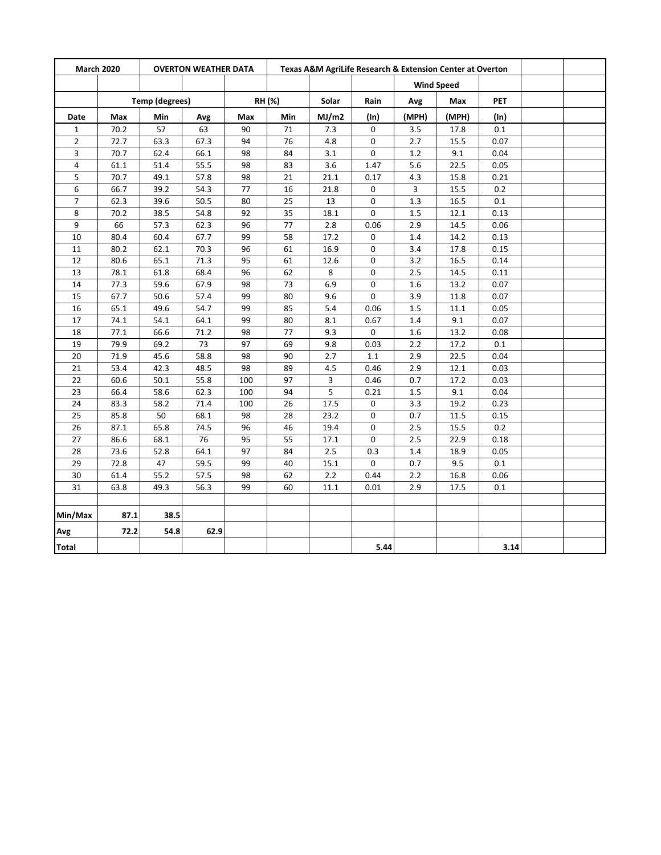| <b>March 2020</b><br><b>OVERTON WEATHER DATA</b> |      | Texas A&M AgriLife Research & Extension Center at Overton |      |     |        |       |             |       |                   |            |  |
|--------------------------------------------------|------|-----------------------------------------------------------|------|-----|--------|-------|-------------|-------|-------------------|------------|--|
|                                                  |      |                                                           |      |     |        |       |             |       | <b>Wind Speed</b> |            |  |
|                                                  |      | <b>Temp (degrees)</b>                                     |      |     | RH (%) | Solar | Rain        | Avg   | Max               | <b>PET</b> |  |
| Date                                             | Max  | Min                                                       | Avg  | Max | Min    | MJ/m2 | (ln)        | (MPH) | (MPH)             | (ln)       |  |
| $\mathbf{1}$                                     | 70.2 | 57                                                        | 63   | 90  | $71\,$ | 7.3   | 0           | 3.5   | 17.8              | 0.1        |  |
| $\overline{2}$                                   | 72.7 | 63.3                                                      | 67.3 | 94  | 76     | 4.8   | $\Omega$    | 2.7   | 15.5              | 0.07       |  |
| 3                                                | 70.7 | 62.4                                                      | 66.1 | 98  | 84     | 3.1   | 0           | 1.2   | 9.1               | 0.04       |  |
| $\overline{4}$                                   | 61.1 | 51.4                                                      | 55.5 | 98  | 83     | 3.6   | 1.47        | 5.6   | 22.5              | 0.05       |  |
| 5                                                | 70.7 | 49.1                                                      | 57.8 | 98  | 21     | 21.1  | 0.17        | 4.3   | 15.8              | 0.21       |  |
| 6                                                | 66.7 | 39.2                                                      | 54.3 | 77  | 16     | 21.8  | 0           | 3     | 15.5              | 0.2        |  |
| $\overline{7}$                                   | 62.3 | 39.6                                                      | 50.5 | 80  | 25     | 13    | 0           | 1.3   | 16.5              | 0.1        |  |
| 8                                                | 70.2 | 38.5                                                      | 54.8 | 92  | 35     | 18.1  | 0           | 1.5   | 12.1              | 0.13       |  |
| 9                                                | 66   | 57.3                                                      | 62.3 | 96  | 77     | 2.8   | 0.06        | 2.9   | 14.5              | 0.06       |  |
| 10                                               | 80.4 | 60.4                                                      | 67.7 | 99  | 58     | 17.2  | 0           | 1.4   | 14.2              | 0.13       |  |
| 11                                               | 80.2 | 62.1                                                      | 70.3 | 96  | 61     | 16.9  | 0           | 3.4   | 17.8              | 0.15       |  |
| 12                                               | 80.6 | 65.1                                                      | 71.3 | 95  | 61     | 12.6  | 0           | 3.2   | 16.5              | 0.14       |  |
| 13                                               | 78.1 | 61.8                                                      | 68.4 | 96  | 62     | 8     | 0           | 2.5   | 14.5              | 0.11       |  |
| 14                                               | 77.3 | 59.6                                                      | 67.9 | 98  | 73     | 6.9   | 0           | 1.6   | 13.2              | 0.07       |  |
| 15                                               | 67.7 | 50.6                                                      | 57.4 | 99  | 80     | 9.6   | $\pmb{0}$   | 3.9   | 11.8              | 0.07       |  |
| 16                                               | 65.1 | 49.6                                                      | 54.7 | 99  | 85     | 5.4   | 0.06        | 1.5   | 11.1              | 0.05       |  |
| 17                                               | 74.1 | 54.1                                                      | 64.1 | 99  | 80     | 8.1   | 0.67        | 1.4   | 9.1               | 0.07       |  |
| 18                                               | 77.1 | 66.6                                                      | 71.2 | 98  | 77     | 9.3   | 0           | 1.6   | 13.2              | 0.08       |  |
| 19                                               | 79.9 | 69.2                                                      | 73   | 97  | 69     | 9.8   | 0.03        | 2.2   | 17.2              | 0.1        |  |
| 20                                               | 71.9 | 45.6                                                      | 58.8 | 98  | 90     | 2.7   | $1.1\,$     | 2.9   | 22.5              | 0.04       |  |
| 21                                               | 53.4 | 42.3                                                      | 48.5 | 98  | 89     | 4.5   | 0.46        | 2.9   | 12.1              | 0.03       |  |
| 22                                               | 60.6 | 50.1                                                      | 55.8 | 100 | 97     | 3     | 0.46        | 0.7   | 17.2              | 0.03       |  |
| 23                                               | 66.4 | 58.6                                                      | 62.3 | 100 | 94     | 5     | 0.21        | 1.5   | 9.1               | 0.04       |  |
| 24                                               | 83.3 | 58.2                                                      | 71.4 | 100 | 26     | 17.5  | 0           | 3.3   | 19.2              | 0.23       |  |
| 25                                               | 85.8 | 50                                                        | 68.1 | 98  | 28     | 23.2  | 0           | 0.7   | 11.5              | 0.15       |  |
| 26                                               | 87.1 | 65.8                                                      | 74.5 | 96  | 46     | 19.4  | $\Omega$    | 2.5   | 15.5              | 0.2        |  |
| 27                                               | 86.6 | 68.1                                                      | 76   | 95  | 55     | 17.1  | $\mathbf 0$ | 2.5   | 22.9              | 0.18       |  |
| 28                                               | 73.6 | 52.8                                                      | 64.1 | 97  | 84     | 2.5   | 0.3         | 1.4   | 18.9              | 0.05       |  |
| 29                                               | 72.8 | 47                                                        | 59.5 | 99  | 40     | 15.1  | 0           | 0.7   | 9.5               | 0.1        |  |
| 30                                               | 61.4 | 55.2                                                      | 57.5 | 98  | 62     | 2.2   | 0.44        | 2.2   | 16.8              | 0.06       |  |
| 31                                               | 63.8 | 49.3                                                      | 56.3 | 99  | 60     | 11.1  | 0.01        | 2.9   | 17.5              | 0.1        |  |
|                                                  |      |                                                           |      |     |        |       |             |       |                   |            |  |
| Min/Max                                          | 87.1 | 38.5                                                      |      |     |        |       |             |       |                   |            |  |
| Avg                                              | 72.2 | 54.8                                                      | 62.9 |     |        |       |             |       |                   |            |  |
| <b>Total</b>                                     |      |                                                           |      |     |        |       | 5.44        |       |                   | 3.14       |  |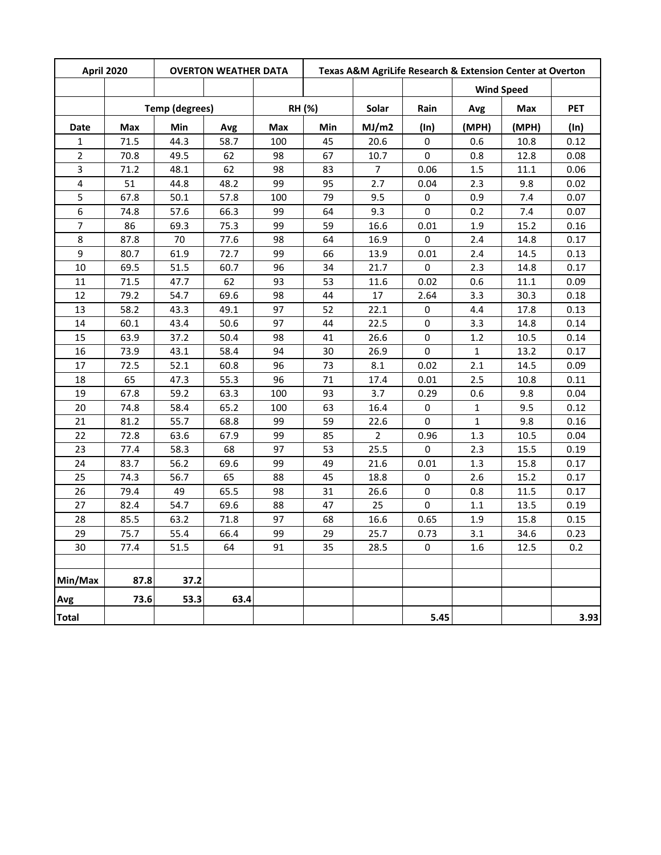|                | <b>April 2020</b><br><b>OVERTON WEATHER DATA</b> |                       |      |     | Texas A&M AgriLife Research & Extension Center at Overton |                |           |              |                   |            |
|----------------|--------------------------------------------------|-----------------------|------|-----|-----------------------------------------------------------|----------------|-----------|--------------|-------------------|------------|
|                |                                                  |                       |      |     |                                                           |                |           |              | <b>Wind Speed</b> |            |
|                |                                                  | <b>Temp (degrees)</b> |      |     | RH (%)                                                    | Solar          | Rain      | Avg          | Max               | <b>PET</b> |
| Date           | Max                                              | Min                   | Avg  | Max | Min                                                       | MJ/m2          | (ln)      | (MPH)        | (MPH)             | $(\ln)$    |
| 1              | 71.5                                             | 44.3                  | 58.7 | 100 | 45                                                        | 20.6           | 0         | 0.6          | 10.8              | 0.12       |
| $\overline{2}$ | 70.8                                             | 49.5                  | 62   | 98  | 67                                                        | 10.7           | 0         | 0.8          | 12.8              | 0.08       |
| 3              | 71.2                                             | 48.1                  | 62   | 98  | 83                                                        | $\overline{7}$ | 0.06      | 1.5          | 11.1              | 0.06       |
| 4              | 51                                               | 44.8                  | 48.2 | 99  | 95                                                        | 2.7            | 0.04      | 2.3          | 9.8               | 0.02       |
| 5              | 67.8                                             | 50.1                  | 57.8 | 100 | 79                                                        | 9.5            | 0         | 0.9          | 7.4               | 0.07       |
| 6              | 74.8                                             | 57.6                  | 66.3 | 99  | 64                                                        | 9.3            | 0         | 0.2          | 7.4               | 0.07       |
| $\overline{7}$ | 86                                               | 69.3                  | 75.3 | 99  | 59                                                        | 16.6           | 0.01      | 1.9          | 15.2              | 0.16       |
| 8              | 87.8                                             | 70                    | 77.6 | 98  | 64                                                        | 16.9           | 0         | 2.4          | 14.8              | 0.17       |
| 9              | 80.7                                             | 61.9                  | 72.7 | 99  | 66                                                        | 13.9           | 0.01      | 2.4          | 14.5              | 0.13       |
| 10             | 69.5                                             | 51.5                  | 60.7 | 96  | 34                                                        | 21.7           | 0         | 2.3          | 14.8              | 0.17       |
| 11             | 71.5                                             | 47.7                  | 62   | 93  | 53                                                        | 11.6           | 0.02      | 0.6          | 11.1              | 0.09       |
| 12             | 79.2                                             | 54.7                  | 69.6 | 98  | 44                                                        | 17             | 2.64      | 3.3          | 30.3              | 0.18       |
| 13             | 58.2                                             | 43.3                  | 49.1 | 97  | 52                                                        | 22.1           | 0         | 4.4          | 17.8              | 0.13       |
| 14             | 60.1                                             | 43.4                  | 50.6 | 97  | 44                                                        | 22.5           | 0         | 3.3          | 14.8              | 0.14       |
| 15             | 63.9                                             | 37.2                  | 50.4 | 98  | 41                                                        | 26.6           | 0         | 1.2          | 10.5              | 0.14       |
| 16             | 73.9                                             | 43.1                  | 58.4 | 94  | 30                                                        | 26.9           | 0         | $\mathbf{1}$ | 13.2              | 0.17       |
| 17             | 72.5                                             | 52.1                  | 60.8 | 96  | 73                                                        | 8.1            | 0.02      | 2.1          | 14.5              | 0.09       |
| 18             | 65                                               | 47.3                  | 55.3 | 96  | 71                                                        | 17.4           | 0.01      | 2.5          | 10.8              | 0.11       |
| 19             | 67.8                                             | 59.2                  | 63.3 | 100 | 93                                                        | 3.7            | 0.29      | 0.6          | 9.8               | 0.04       |
| 20             | 74.8                                             | 58.4                  | 65.2 | 100 | 63                                                        | 16.4           | 0         | $\mathbf{1}$ | 9.5               | 0.12       |
| 21             | 81.2                                             | 55.7                  | 68.8 | 99  | 59                                                        | 22.6           | 0         | $\mathbf{1}$ | 9.8               | 0.16       |
| 22             | 72.8                                             | 63.6                  | 67.9 | 99  | 85                                                        | $\overline{2}$ | 0.96      | 1.3          | 10.5              | 0.04       |
| 23             | 77.4                                             | 58.3                  | 68   | 97  | 53                                                        | 25.5           | 0         | 2.3          | 15.5              | 0.19       |
| 24             | 83.7                                             | 56.2                  | 69.6 | 99  | 49                                                        | 21.6           | 0.01      | 1.3          | 15.8              | 0.17       |
| 25             | 74.3                                             | 56.7                  | 65   | 88  | 45                                                        | 18.8           | 0         | 2.6          | 15.2              | 0.17       |
| 26             | 79.4                                             | 49                    | 65.5 | 98  | 31                                                        | 26.6           | 0         | 0.8          | 11.5              | 0.17       |
| 27             | 82.4                                             | 54.7                  | 69.6 | 88  | 47                                                        | 25             | 0         | $1.1\,$      | 13.5              | 0.19       |
| 28             | 85.5                                             | 63.2                  | 71.8 | 97  | 68                                                        | 16.6           | 0.65      | 1.9          | 15.8              | 0.15       |
| 29             | 75.7                                             | 55.4                  | 66.4 | 99  | 29                                                        | 25.7           | 0.73      | 3.1          | 34.6              | 0.23       |
| 30             | 77.4                                             | 51.5                  | 64   | 91  | 35                                                        | 28.5           | $\pmb{0}$ | 1.6          | 12.5              | 0.2        |
|                |                                                  |                       |      |     |                                                           |                |           |              |                   |            |
| Min/Max        | 87.8                                             | 37.2                  |      |     |                                                           |                |           |              |                   |            |
| Avg            | 73.6                                             | 53.3                  | 63.4 |     |                                                           |                |           |              |                   |            |
| <b>Total</b>   |                                                  |                       |      |     |                                                           |                | 5.45      |              |                   | 3.93       |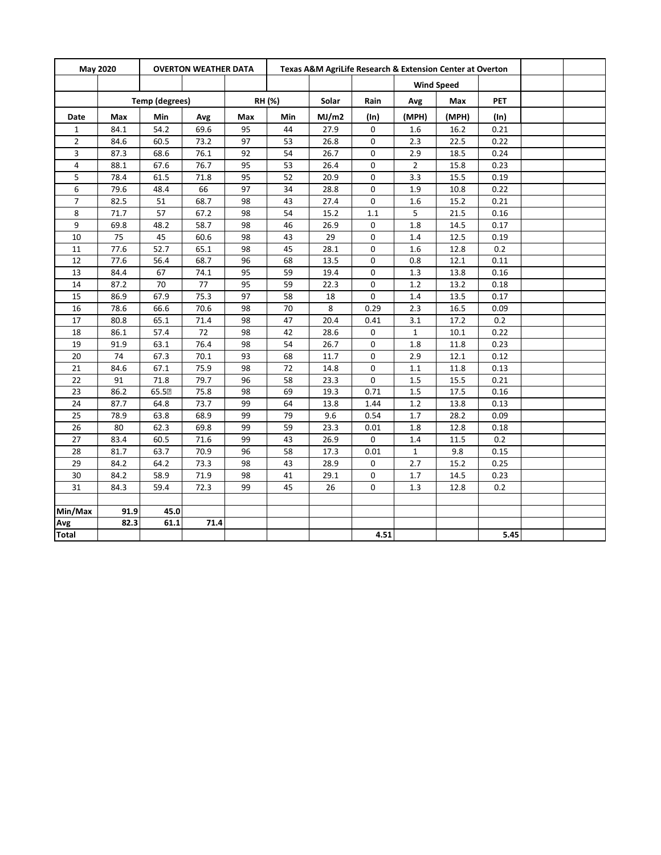| May 2020<br><b>OVERTON WEATHER DATA</b> |      | Texas A&M AgriLife Research & Extension Center at Overton |      |     |        |       |             |                |                   |         |  |
|-----------------------------------------|------|-----------------------------------------------------------|------|-----|--------|-------|-------------|----------------|-------------------|---------|--|
|                                         |      |                                                           |      |     |        |       |             |                | <b>Wind Speed</b> |         |  |
|                                         |      | Temp (degrees)                                            |      |     | RH (%) | Solar | Rain        | Avg            | Max               | PET     |  |
| Date                                    | Max  | Min                                                       | Avg  | Max | Min    | MJ/m2 | (ln)        | (MPH)          | (MPH)             | $(\ln)$ |  |
| $\mathbf{1}$                            | 84.1 | 54.2                                                      | 69.6 | 95  | 44     | 27.9  | 0           | 1.6            | 16.2              | 0.21    |  |
| $\overline{2}$                          | 84.6 | 60.5                                                      | 73.2 | 97  | 53     | 26.8  | 0           | 2.3            | 22.5              | 0.22    |  |
| 3                                       | 87.3 | 68.6                                                      | 76.1 | 92  | 54     | 26.7  | 0           | 2.9            | 18.5              | 0.24    |  |
| 4                                       | 88.1 | 67.6                                                      | 76.7 | 95  | 53     | 26.4  | 0           | $\overline{2}$ | 15.8              | 0.23    |  |
| 5                                       | 78.4 | 61.5                                                      | 71.8 | 95  | 52     | 20.9  | 0           | 3.3            | 15.5              | 0.19    |  |
| 6                                       | 79.6 | 48.4                                                      | 66   | 97  | 34     | 28.8  | $\mathbf 0$ | 1.9            | 10.8              | 0.22    |  |
| $\overline{7}$                          | 82.5 | 51                                                        | 68.7 | 98  | 43     | 27.4  | 0           | 1.6            | 15.2              | 0.21    |  |
| 8                                       | 71.7 | 57                                                        | 67.2 | 98  | 54     | 15.2  | 1.1         | 5              | 21.5              | 0.16    |  |
| 9                                       | 69.8 | 48.2                                                      | 58.7 | 98  | 46     | 26.9  | 0           | 1.8            | 14.5              | 0.17    |  |
| 10                                      | 75   | 45                                                        | 60.6 | 98  | 43     | 29    | 0           | 1.4            | 12.5              | 0.19    |  |
| 11                                      | 77.6 | 52.7                                                      | 65.1 | 98  | 45     | 28.1  | 0           | 1.6            | 12.8              | 0.2     |  |
| 12                                      | 77.6 | 56.4                                                      | 68.7 | 96  | 68     | 13.5  | 0           | 0.8            | 12.1              | 0.11    |  |
| 13                                      | 84.4 | 67                                                        | 74.1 | 95  | 59     | 19.4  | 0           | 1.3            | 13.8              | 0.16    |  |
| 14                                      | 87.2 | 70                                                        | 77   | 95  | 59     | 22.3  | $\mathbf 0$ | $1.2\,$        | 13.2              | 0.18    |  |
| 15                                      | 86.9 | 67.9                                                      | 75.3 | 97  | 58     | 18    | $\Omega$    | 1.4            | 13.5              | 0.17    |  |
| 16                                      | 78.6 | 66.6                                                      | 70.6 | 98  | 70     | 8     | 0.29        | 2.3            | 16.5              | 0.09    |  |
| 17                                      | 80.8 | 65.1                                                      | 71.4 | 98  | 47     | 20.4  | 0.41        | 3.1            | 17.2              | 0.2     |  |
| 18                                      | 86.1 | 57.4                                                      | 72   | 98  | 42     | 28.6  | 0           | $\mathbf{1}$   | 10.1              | 0.22    |  |
| 19                                      | 91.9 | 63.1                                                      | 76.4 | 98  | 54     | 26.7  | 0           | 1.8            | 11.8              | 0.23    |  |
| 20                                      | 74   | 67.3                                                      | 70.1 | 93  | 68     | 11.7  | 0           | 2.9            | 12.1              | 0.12    |  |
| 21                                      | 84.6 | 67.1                                                      | 75.9 | 98  | 72     | 14.8  | 0           | $1.1\,$        | 11.8              | 0.13    |  |
| 22                                      | 91   | 71.8                                                      | 79.7 | 96  | 58     | 23.3  | 0           | 1.5            | 15.5              | 0.21    |  |
| 23                                      | 86.2 | 65.52                                                     | 75.8 | 98  | 69     | 19.3  | 0.71        | 1.5            | 17.5              | 0.16    |  |
| 24                                      | 87.7 | 64.8                                                      | 73.7 | 99  | 64     | 13.8  | 1.44        | 1.2            | 13.8              | 0.13    |  |
| 25                                      | 78.9 | 63.8                                                      | 68.9 | 99  | 79     | 9.6   | 0.54        | 1.7            | 28.2              | 0.09    |  |
| 26                                      | 80   | 62.3                                                      | 69.8 | 99  | 59     | 23.3  | 0.01        | 1.8            | 12.8              | 0.18    |  |
| 27                                      | 83.4 | 60.5                                                      | 71.6 | 99  | 43     | 26.9  | $\mathbf 0$ | 1.4            | 11.5              | 0.2     |  |
| 28                                      | 81.7 | 63.7                                                      | 70.9 | 96  | 58     | 17.3  | 0.01        | $\mathbf{1}$   | 9.8               | 0.15    |  |
| 29                                      | 84.2 | 64.2                                                      | 73.3 | 98  | 43     | 28.9  | 0           | 2.7            | 15.2              | 0.25    |  |
| 30                                      | 84.2 | 58.9                                                      | 71.9 | 98  | 41     | 29.1  | $\mathbf 0$ | 1.7            | 14.5              | 0.23    |  |
| 31                                      | 84.3 | 59.4                                                      | 72.3 | 99  | 45     | 26    | 0           | 1.3            | 12.8              | 0.2     |  |
|                                         |      |                                                           |      |     |        |       |             |                |                   |         |  |
| Min/Max                                 | 91.9 | 45.0                                                      |      |     |        |       |             |                |                   |         |  |
| Avg                                     | 82.3 | 61.1                                                      | 71.4 |     |        |       |             |                |                   |         |  |
| <b>Total</b>                            |      |                                                           |      |     |        |       | 4.51        |                |                   | 5.45    |  |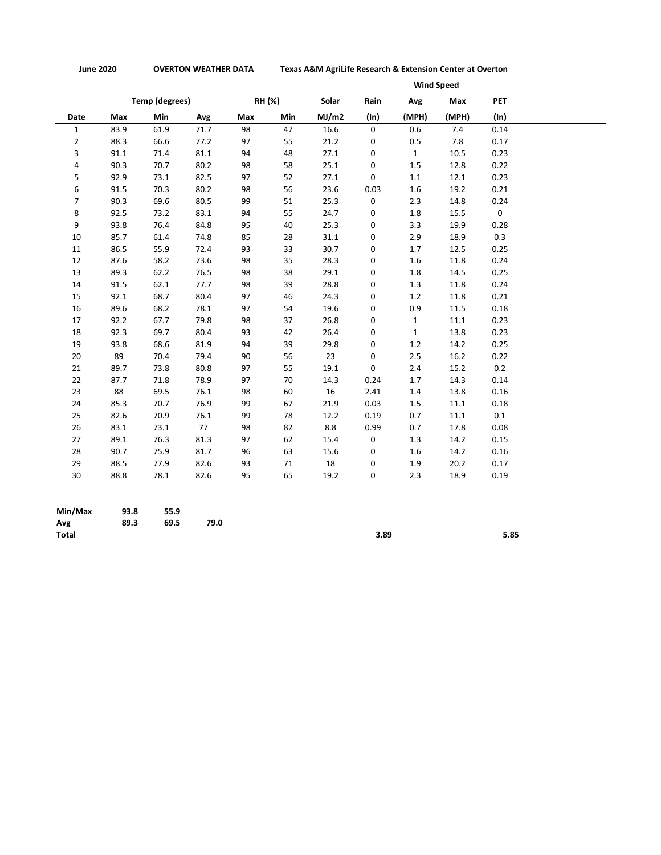**June 2020 OVERTON WEATHER DATA Texas A&M AgriLife Research & Extension Center at Overton**

|                |      |                       |      |     |        |       |             |              | <b>Wind Speed</b> |             |
|----------------|------|-----------------------|------|-----|--------|-------|-------------|--------------|-------------------|-------------|
|                |      | <b>Temp (degrees)</b> |      |     | RH (%) | Solar | Rain        | Avg          | Max               | <b>PET</b>  |
| Date           | Max  | Min                   | Avg  | Max | Min    | MJ/m2 | (ln)        | (MPH)        | (MPH)             | (ln)        |
| $\mathbf{1}$   | 83.9 | 61.9                  | 71.7 | 98  | 47     | 16.6  | $\mathbf 0$ | 0.6          | 7.4               | 0.14        |
| $\overline{2}$ | 88.3 | 66.6                  | 77.2 | 97  | 55     | 21.2  | 0           | 0.5          | 7.8               | 0.17        |
| 3              | 91.1 | 71.4                  | 81.1 | 94  | 48     | 27.1  | 0           | $\mathbf{1}$ | 10.5              | 0.23        |
| 4              | 90.3 | 70.7                  | 80.2 | 98  | 58     | 25.1  | 0           | $1.5\,$      | 12.8              | 0.22        |
| 5              | 92.9 | 73.1                  | 82.5 | 97  | 52     | 27.1  | 0           | 1.1          | 12.1              | 0.23        |
| 6              | 91.5 | 70.3                  | 80.2 | 98  | 56     | 23.6  | 0.03        | 1.6          | 19.2              | 0.21        |
| 7              | 90.3 | 69.6                  | 80.5 | 99  | 51     | 25.3  | 0           | 2.3          | 14.8              | 0.24        |
| 8              | 92.5 | 73.2                  | 83.1 | 94  | 55     | 24.7  | 0           | 1.8          | 15.5              | $\mathbf 0$ |
| 9              | 93.8 | 76.4                  | 84.8 | 95  | 40     | 25.3  | 0           | 3.3          | 19.9              | 0.28        |
| 10             | 85.7 | 61.4                  | 74.8 | 85  | 28     | 31.1  | 0           | 2.9          | 18.9              | 0.3         |
| 11             | 86.5 | 55.9                  | 72.4 | 93  | 33     | 30.7  | 0           | 1.7          | 12.5              | 0.25        |
| 12             | 87.6 | 58.2                  | 73.6 | 98  | 35     | 28.3  | 0           | 1.6          | 11.8              | 0.24        |
| 13             | 89.3 | 62.2                  | 76.5 | 98  | 38     | 29.1  | 0           | 1.8          | 14.5              | 0.25        |
| 14             | 91.5 | 62.1                  | 77.7 | 98  | 39     | 28.8  | 0           | 1.3          | 11.8              | 0.24        |
| 15             | 92.1 | 68.7                  | 80.4 | 97  | 46     | 24.3  | 0           | 1.2          | 11.8              | 0.21        |
| 16             | 89.6 | 68.2                  | 78.1 | 97  | 54     | 19.6  | 0           | 0.9          | 11.5              | 0.18        |
| 17             | 92.2 | 67.7                  | 79.8 | 98  | 37     | 26.8  | 0           | $\mathbf{1}$ | 11.1              | 0.23        |
| 18             | 92.3 | 69.7                  | 80.4 | 93  | 42     | 26.4  | 0           | $\mathbf{1}$ | 13.8              | 0.23        |
| 19             | 93.8 | 68.6                  | 81.9 | 94  | 39     | 29.8  | 0           | 1.2          | 14.2              | 0.25        |
| 20             | 89   | 70.4                  | 79.4 | 90  | 56     | 23    | 0           | 2.5          | 16.2              | 0.22        |
| 21             | 89.7 | 73.8                  | 80.8 | 97  | 55     | 19.1  | 0           | 2.4          | 15.2              | 0.2         |
| 22             | 87.7 | 71.8                  | 78.9 | 97  | 70     | 14.3  | 0.24        | 1.7          | 14.3              | 0.14        |
| 23             | 88   | 69.5                  | 76.1 | 98  | 60     | 16    | 2.41        | 1.4          | 13.8              | 0.16        |
| 24             | 85.3 | 70.7                  | 76.9 | 99  | 67     | 21.9  | 0.03        | 1.5          | 11.1              | 0.18        |
| 25             | 82.6 | 70.9                  | 76.1 | 99  | 78     | 12.2  | 0.19        | 0.7          | 11.1              | $0.1\,$     |
| 26             | 83.1 | 73.1                  | 77   | 98  | 82     | 8.8   | 0.99        | 0.7          | 17.8              | 0.08        |
| 27             | 89.1 | 76.3                  | 81.3 | 97  | 62     | 15.4  | 0           | 1.3          | 14.2              | 0.15        |
| 28             | 90.7 | 75.9                  | 81.7 | 96  | 63     | 15.6  | 0           | 1.6          | 14.2              | 0.16        |
| 29             | 88.5 | 77.9                  | 82.6 | 93  | 71     | 18    | 0           | 1.9          | 20.2              | 0.17        |
| 30             | 88.8 | 78.1                  | 82.6 | 95  | 65     | 19.2  | 0           | 2.3          | 18.9              | 0.19        |

| Min/Max      | 93.8 | 55.9 |      |      |      |
|--------------|------|------|------|------|------|
| Avg          | 89.3 | 69.5 | 79.0 |      |      |
| <b>Total</b> |      |      |      | 3.89 | 5.85 |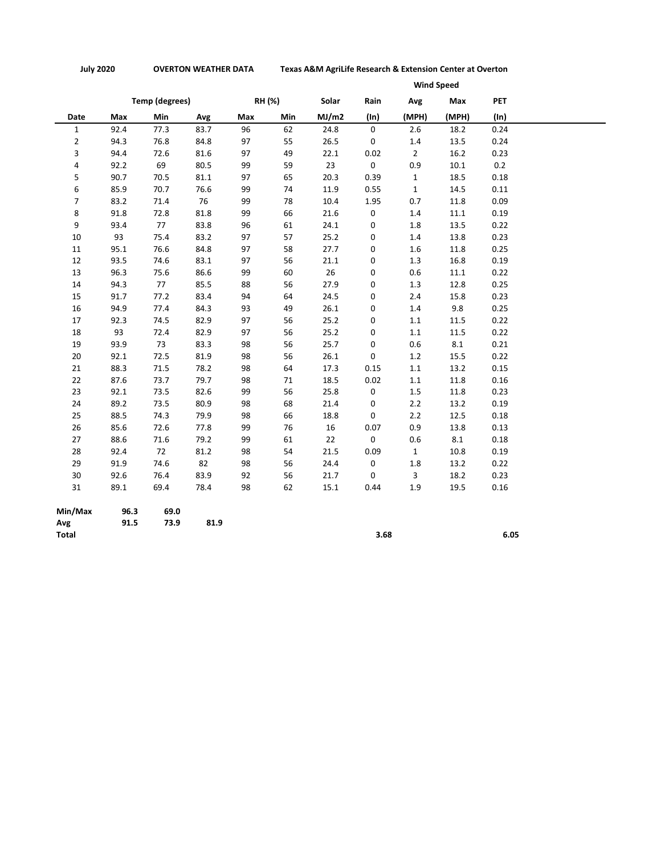**July 2020 OVERTON WEATHER DATA Texas A&M AgriLife Research & Extension Center at Overton**

|                | <b>Wind Speed</b> |                       |      |     |        |       |                     |                |       |      |
|----------------|-------------------|-----------------------|------|-----|--------|-------|---------------------|----------------|-------|------|
|                |                   | <b>Temp (degrees)</b> |      |     | RH (%) | Solar | Rain                | Avg            | Max   | PET  |
| Date           | Max               | Min                   | Avg  | Max | Min    | MJ/m2 | $(\ln)$             | (MPH)          | (MPH) | (ln) |
| $\mathbf{1}$   | 92.4              | 77.3                  | 83.7 | 96  | 62     | 24.8  | $\mathbf 0$         | 2.6            | 18.2  | 0.24 |
| $\overline{2}$ | 94.3              | 76.8                  | 84.8 | 97  | 55     | 26.5  | 0                   | $1.4\,$        | 13.5  | 0.24 |
| 3              | 94.4              | 72.6                  | 81.6 | 97  | 49     | 22.1  | 0.02                | $\overline{2}$ | 16.2  | 0.23 |
| 4              | 92.2              | 69                    | 80.5 | 99  | 59     | 23    | $\mathsf{O}\xspace$ | 0.9            | 10.1  | 0.2  |
| 5              | 90.7              | 70.5                  | 81.1 | 97  | 65     | 20.3  | 0.39                | $\mathbf{1}$   | 18.5  | 0.18 |
| 6              | 85.9              | 70.7                  | 76.6 | 99  | 74     | 11.9  | 0.55                | $\mathbf{1}$   | 14.5  | 0.11 |
| 7              | 83.2              | 71.4                  | 76   | 99  | 78     | 10.4  | 1.95                | 0.7            | 11.8  | 0.09 |
| 8              | 91.8              | 72.8                  | 81.8 | 99  | 66     | 21.6  | $\mathsf{O}\xspace$ | 1.4            | 11.1  | 0.19 |
| 9              | 93.4              | 77                    | 83.8 | 96  | 61     | 24.1  | 0                   | 1.8            | 13.5  | 0.22 |
| 10             | 93                | 75.4                  | 83.2 | 97  | 57     | 25.2  | 0                   | 1.4            | 13.8  | 0.23 |
| 11             | 95.1              | 76.6                  | 84.8 | 97  | 58     | 27.7  | 0                   | 1.6            | 11.8  | 0.25 |
| 12             | 93.5              | 74.6                  | 83.1 | 97  | 56     | 21.1  | 0                   | 1.3            | 16.8  | 0.19 |
| 13             | 96.3              | 75.6                  | 86.6 | 99  | 60     | 26    | 0                   | 0.6            | 11.1  | 0.22 |
| 14             | 94.3              | 77                    | 85.5 | 88  | 56     | 27.9  | 0                   | 1.3            | 12.8  | 0.25 |
| 15             | 91.7              | 77.2                  | 83.4 | 94  | 64     | 24.5  | 0                   | 2.4            | 15.8  | 0.23 |
| 16             | 94.9              | 77.4                  | 84.3 | 93  | 49     | 26.1  | 0                   | 1.4            | 9.8   | 0.25 |
| 17             | 92.3              | 74.5                  | 82.9 | 97  | 56     | 25.2  | 0                   | 1.1            | 11.5  | 0.22 |
| 18             | 93                | 72.4                  | 82.9 | 97  | 56     | 25.2  | 0                   | 1.1            | 11.5  | 0.22 |
| 19             | 93.9              | 73                    | 83.3 | 98  | 56     | 25.7  | 0                   | 0.6            | 8.1   | 0.21 |
| 20             | 92.1              | 72.5                  | 81.9 | 98  | 56     | 26.1  | 0                   | 1.2            | 15.5  | 0.22 |
| 21             | 88.3              | 71.5                  | 78.2 | 98  | 64     | 17.3  | 0.15                | 1.1            | 13.2  | 0.15 |
| 22             | 87.6              | 73.7                  | 79.7 | 98  | 71     | 18.5  | 0.02                | $1.1\,$        | 11.8  | 0.16 |
| 23             | 92.1              | 73.5                  | 82.6 | 99  | 56     | 25.8  | $\mathsf{O}\xspace$ | 1.5            | 11.8  | 0.23 |
| 24             | 89.2              | 73.5                  | 80.9 | 98  | 68     | 21.4  | 0                   | 2.2            | 13.2  | 0.19 |
| 25             | 88.5              | 74.3                  | 79.9 | 98  | 66     | 18.8  | 0                   | 2.2            | 12.5  | 0.18 |
| 26             | 85.6              | 72.6                  | 77.8 | 99  | 76     | 16    | 0.07                | 0.9            | 13.8  | 0.13 |
| 27             | 88.6              | 71.6                  | 79.2 | 99  | 61     | 22    | 0                   | 0.6            | 8.1   | 0.18 |
| 28             | 92.4              | 72                    | 81.2 | 98  | 54     | 21.5  | 0.09                | $\mathbf{1}$   | 10.8  | 0.19 |
| 29             | 91.9              | 74.6                  | 82   | 98  | 56     | 24.4  | 0                   | 1.8            | 13.2  | 0.22 |
| 30             | 92.6              | 76.4                  | 83.9 | 92  | 56     | 21.7  | 0                   | 3              | 18.2  | 0.23 |
| 31             | 89.1              | 69.4                  | 78.4 | 98  | 62     | 15.1  | 0.44                | 1.9            | 19.5  | 0.16 |
| Min/Max        | 96.3              | 69.0                  |      |     |        |       |                     |                |       |      |
| Avg            | 91.5              | 73.9                  | 81.9 |     |        |       |                     |                |       |      |

**Total 3.68 6.05**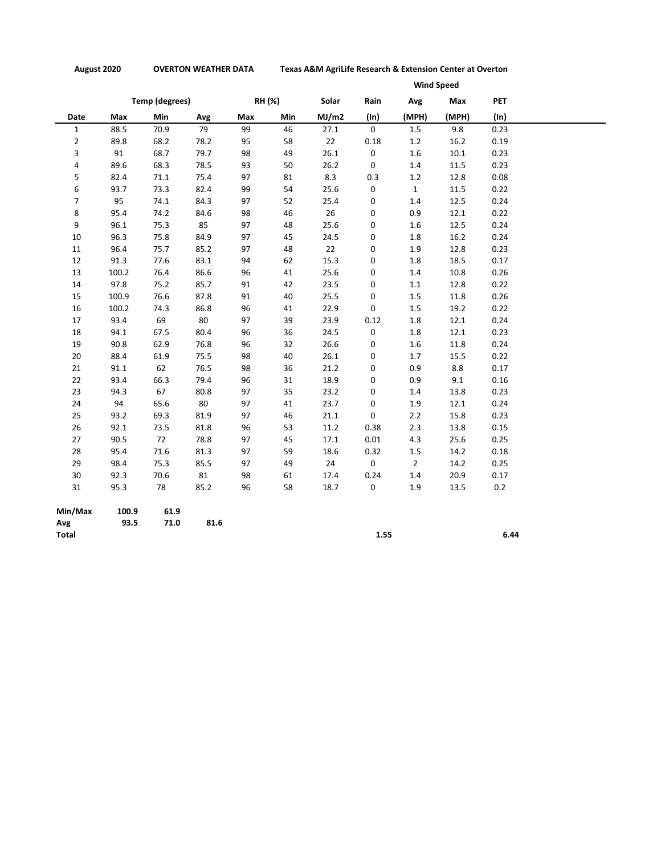**August 2020 OVERTON WEATHER DATA Texas A&M AgriLife Research & Extension Center at Overton**

|                |       |                       |      | <b>Wind Speed</b> |        |       |             |                |       |            |  |
|----------------|-------|-----------------------|------|-------------------|--------|-------|-------------|----------------|-------|------------|--|
|                |       | <b>Temp (degrees)</b> |      |                   | RH (%) | Solar | Rain        | Avg            | Max   | <b>PET</b> |  |
| Date           | Max   | Min                   | Avg  | Max               | Min    | MJ/m2 | $(\ln)$     | (MPH)          | (MPH) | $(\ln)$    |  |
| $\mathbf{1}$   | 88.5  | 70.9                  | 79   | 99                | 46     | 27.1  | $\mathbf 0$ | 1.5            | 9.8   | 0.23       |  |
| $\overline{2}$ | 89.8  | 68.2                  | 78.2 | 95                | 58     | 22    | 0.18        | 1.2            | 16.2  | 0.19       |  |
| 3              | 91    | 68.7                  | 79.7 | 98                | 49     | 26.1  | 0           | 1.6            | 10.1  | 0.23       |  |
| 4              | 89.6  | 68.3                  | 78.5 | 93                | 50     | 26.2  | 0           | $1.4\,$        | 11.5  | 0.23       |  |
| 5              | 82.4  | 71.1                  | 75.4 | 97                | 81     | 8.3   | 0.3         | 1.2            | 12.8  | 0.08       |  |
| 6              | 93.7  | 73.3                  | 82.4 | 99                | 54     | 25.6  | 0           | $\mathbf{1}$   | 11.5  | 0.22       |  |
| $\overline{7}$ | 95    | 74.1                  | 84.3 | 97                | 52     | 25.4  | 0           | 1.4            | 12.5  | 0.24       |  |
| 8              | 95.4  | 74.2                  | 84.6 | 98                | 46     | 26    | 0           | 0.9            | 12.1  | 0.22       |  |
| 9              | 96.1  | 75.3                  | 85   | 97                | 48     | 25.6  | 0           | $1.6\,$        | 12.5  | 0.24       |  |
| 10             | 96.3  | 75.8                  | 84.9 | 97                | 45     | 24.5  | 0           | 1.8            | 16.2  | 0.24       |  |
| 11             | 96.4  | 75.7                  | 85.2 | 97                | 48     | 22    | 0           | 1.9            | 12.8  | 0.23       |  |
| 12             | 91.3  | 77.6                  | 83.1 | 94                | 62     | 15.3  | 0           | 1.8            | 18.5  | 0.17       |  |
| 13             | 100.2 | 76.4                  | 86.6 | 96                | 41     | 25.6  | 0           | 1.4            | 10.8  | 0.26       |  |
| 14             | 97.8  | 75.2                  | 85.7 | 91                | 42     | 23.5  | 0           | $1.1\,$        | 12.8  | 0.22       |  |
| 15             | 100.9 | 76.6                  | 87.8 | 91                | 40     | 25.5  | 0           | 1.5            | 11.8  | 0.26       |  |
| 16             | 100.2 | 74.3                  | 86.8 | 96                | 41     | 22.9  | $\mathbf 0$ | $1.5\,$        | 19.2  | 0.22       |  |
| 17             | 93.4  | 69                    | 80   | 97                | 39     | 23.9  | 0.12        | 1.8            | 12.1  | 0.24       |  |
| 18             | 94.1  | 67.5                  | 80.4 | 96                | 36     | 24.5  | $\mathbf 0$ | 1.8            | 12.1  | 0.23       |  |
| 19             | 90.8  | 62.9                  | 76.8 | 96                | 32     | 26.6  | 0           | 1.6            | 11.8  | 0.24       |  |
| 20             | 88.4  | 61.9                  | 75.5 | 98                | 40     | 26.1  | 0           | 1.7            | 15.5  | 0.22       |  |
| 21             | 91.1  | 62                    | 76.5 | 98                | 36     | 21.2  | 0           | 0.9            | 8.8   | 0.17       |  |
| 22             | 93.4  | 66.3                  | 79.4 | 96                | 31     | 18.9  | 0           | 0.9            | 9.1   | 0.16       |  |
| 23             | 94.3  | 67                    | 80.8 | 97                | 35     | 23.2  | 0           | $1.4\,$        | 13.8  | 0.23       |  |
| 24             | 94    | 65.6                  | 80   | 97                | 41     | 23.7  | $\mathbf 0$ | $1.9\,$        | 12.1  | 0.24       |  |
| 25             | 93.2  | 69.3                  | 81.9 | 97                | 46     | 21.1  | 0           | 2.2            | 15.8  | 0.23       |  |
| 26             | 92.1  | 73.5                  | 81.8 | 96                | 53     | 11.2  | 0.38        | 2.3            | 13.8  | 0.15       |  |
| 27             | 90.5  | 72                    | 78.8 | 97                | 45     | 17.1  | 0.01        | 4.3            | 25.6  | 0.25       |  |
| 28             | 95.4  | 71.6                  | 81.3 | 97                | 59     | 18.6  | 0.32        | 1.5            | 14.2  | 0.18       |  |
| 29             | 98.4  | 75.3                  | 85.5 | 97                | 49     | 24    | $\mathbf 0$ | $\overline{2}$ | 14.2  | 0.25       |  |
| 30             | 92.3  | 70.6                  | 81   | 98                | 61     | 17.4  | 0.24        | 1.4            | 20.9  | 0.17       |  |
| 31             | 95.3  | 78                    | 85.2 | 96                | 58     | 18.7  | 0           | 1.9            | 13.5  | 0.2        |  |
| Min/Max        | 100.9 | 61.9                  |      |                   |        |       |             |                |       |            |  |
| Avg            | 93.5  | 71.0                  | 81.6 |                   |        |       |             |                |       |            |  |
| <b>Total</b>   |       |                       |      |                   |        |       | 1.55        |                |       | 6.44       |  |

**Total 1.55 6.44**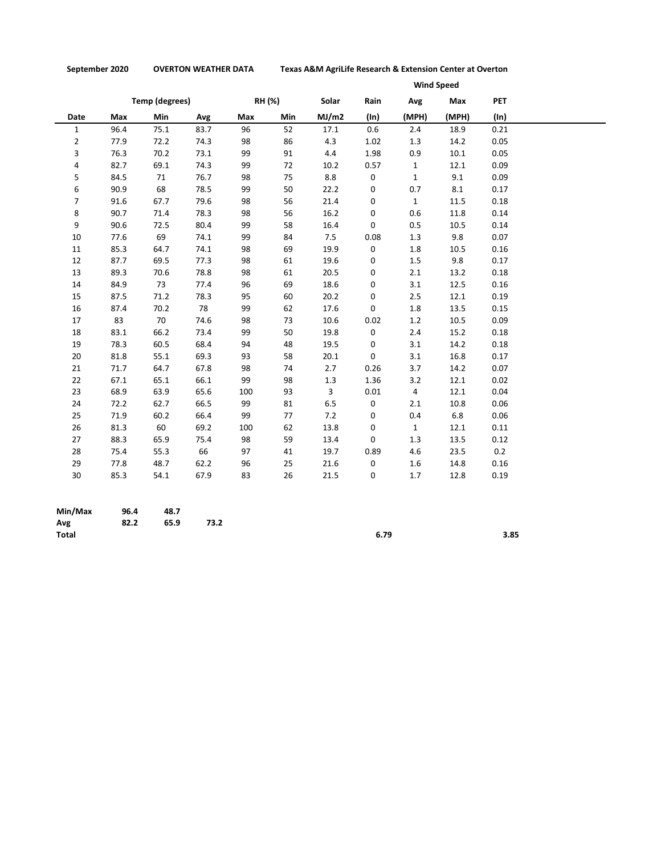**September 2020 OVERTON WEATHER DATA Texas A&M AgriLife Research & Extension Center at Overton**

|                |      |                |      | <b>Wind Speed</b> |        |              |         |                |       |            |
|----------------|------|----------------|------|-------------------|--------|--------------|---------|----------------|-------|------------|
|                |      | Temp (degrees) |      |                   | RH (%) | Solar        | Rain    | Avg            | Max   | <b>PET</b> |
| Date           | Max  | Min            | Avg  | Max               | Min    | MJ/m2        | $(\ln)$ | (MPH)          | (MPH) | (ln)       |
| $\mathbf{1}$   | 96.4 | 75.1           | 83.7 | 96                | 52     | 17.1         | 0.6     | 2.4            | 18.9  | 0.21       |
| $\overline{2}$ | 77.9 | 72.2           | 74.3 | 98                | 86     | 4.3          | 1.02    | 1.3            | 14.2  | 0.05       |
| 3              | 76.3 | 70.2           | 73.1 | 99                | 91     | 4.4          | 1.98    | 0.9            | 10.1  | 0.05       |
| 4              | 82.7 | 69.1           | 74.3 | 99                | 72     | 10.2         | 0.57    | $\mathbf{1}$   | 12.1  | 0.09       |
| 5              | 84.5 | 71             | 76.7 | 98                | 75     | 8.8          | 0       | $\mathbf{1}$   | 9.1   | 0.09       |
| 6              | 90.9 | 68             | 78.5 | 99                | 50     | 22.2         | 0       | 0.7            | 8.1   | 0.17       |
| $\overline{7}$ | 91.6 | 67.7           | 79.6 | 98                | 56     | 21.4         | 0       | $\mathbf{1}$   | 11.5  | 0.18       |
| 8              | 90.7 | 71.4           | 78.3 | 98                | 56     | 16.2         | 0       | 0.6            | 11.8  | 0.14       |
| 9              | 90.6 | 72.5           | 80.4 | 99                | 58     | 16.4         | 0       | 0.5            | 10.5  | 0.14       |
| 10             | 77.6 | 69             | 74.1 | 99                | 84     | 7.5          | 0.08    | 1.3            | 9.8   | 0.07       |
| 11             | 85.3 | 64.7           | 74.1 | 98                | 69     | 19.9         | 0       | 1.8            | 10.5  | 0.16       |
| 12             | 87.7 | 69.5           | 77.3 | 98                | 61     | 19.6         | 0       | 1.5            | 9.8   | 0.17       |
| 13             | 89.3 | 70.6           | 78.8 | 98                | 61     | 20.5         | 0       | 2.1            | 13.2  | 0.18       |
| 14             | 84.9 | 73             | 77.4 | 96                | 69     | 18.6         | 0       | 3.1            | 12.5  | 0.16       |
| 15             | 87.5 | 71.2           | 78.3 | 95                | 60     | 20.2         | 0       | 2.5            | 12.1  | 0.19       |
| 16             | 87.4 | 70.2           | 78   | 99                | 62     | 17.6         | 0       | 1.8            | 13.5  | 0.15       |
| 17             | 83   | 70             | 74.6 | 98                | 73     | 10.6         | 0.02    | 1.2            | 10.5  | 0.09       |
| 18             | 83.1 | 66.2           | 73.4 | 99                | 50     | 19.8         | 0       | 2.4            | 15.2  | 0.18       |
| 19             | 78.3 | 60.5           | 68.4 | 94                | 48     | 19.5         | 0       | 3.1            | 14.2  | 0.18       |
| 20             | 81.8 | 55.1           | 69.3 | 93                | 58     | 20.1         | 0       | 3.1            | 16.8  | 0.17       |
| 21             | 71.7 | 64.7           | 67.8 | 98                | 74     | 2.7          | 0.26    | 3.7            | 14.2  | 0.07       |
| 22             | 67.1 | 65.1           | 66.1 | 99                | 98     | 1.3          | 1.36    | 3.2            | 12.1  | 0.02       |
| 23             | 68.9 | 63.9           | 65.6 | 100               | 93     | $\mathbf{3}$ | 0.01    | $\overline{4}$ | 12.1  | 0.04       |
| 24             | 72.2 | 62.7           | 66.5 | 99                | 81     | 6.5          | 0       | 2.1            | 10.8  | 0.06       |
| 25             | 71.9 | 60.2           | 66.4 | 99                | 77     | 7.2          | 0       | 0.4            | 6.8   | 0.06       |
| 26             | 81.3 | 60             | 69.2 | 100               | 62     | 13.8         | 0       | $\mathbf{1}$   | 12.1  | 0.11       |
| 27             | 88.3 | 65.9           | 75.4 | 98                | 59     | 13.4         | 0       | 1.3            | 13.5  | 0.12       |
| 28             | 75.4 | 55.3           | 66   | 97                | 41     | 19.7         | 0.89    | 4.6            | 23.5  | 0.2        |
| 29             | 77.8 | 48.7           | 62.2 | 96                | 25     | 21.6         | 0       | 1.6            | 14.8  | 0.16       |
| 30             | 85.3 | 54.1           | 67.9 | 83                | 26     | 21.5         | 0       | 1.7            | 12.8  | 0.19       |

| Min/Max      | 96.4 | 48.7 |      |      |      |
|--------------|------|------|------|------|------|
| Avg          | 82.2 | 65.9 | 73.2 |      |      |
| <b>Total</b> |      |      |      | 6.79 | 3.85 |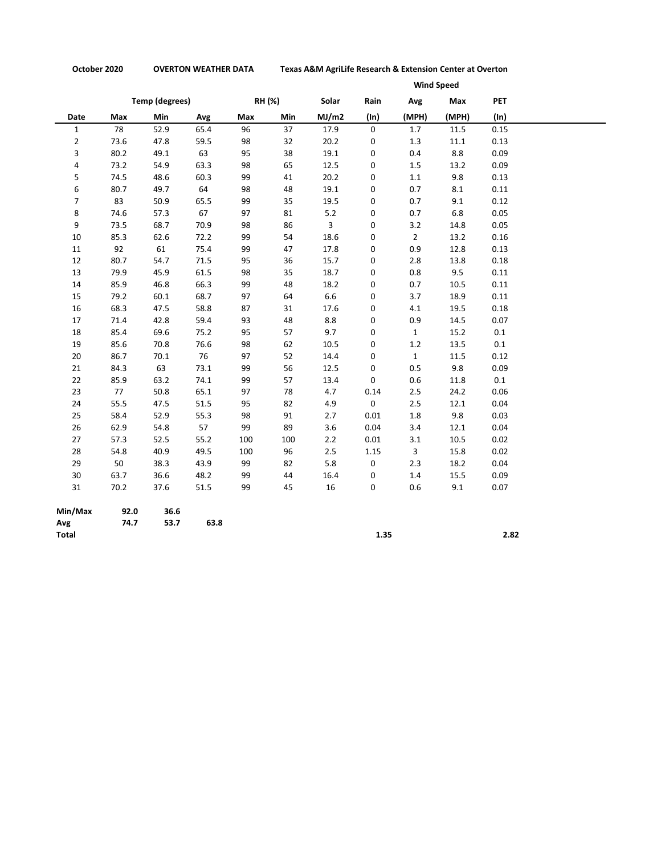**October 2020 OVERTON WEATHER DATA Texas A&M AgriLife Research & Extension Center at Overton**

|                |      |                       |      |     |        |              |                     |                | <b>Wind Speed</b> |            |
|----------------|------|-----------------------|------|-----|--------|--------------|---------------------|----------------|-------------------|------------|
|                |      | <b>Temp (degrees)</b> |      |     | RH (%) | Solar        | Rain                | Avg            | Max               | <b>PET</b> |
| Date           | Max  | Min                   | Avg  | Max | Min    | MJ/m2        | (ln)                | (MPH)          | (MPH)             | $(\ln)$    |
| $\mathbf 1$    | 78   | 52.9                  | 65.4 | 96  | 37     | 17.9         | $\mathbf 0$         | 1.7            | 11.5              | 0.15       |
| $\overline{2}$ | 73.6 | 47.8                  | 59.5 | 98  | 32     | 20.2         | 0                   | 1.3            | 11.1              | 0.13       |
| 3              | 80.2 | 49.1                  | 63   | 95  | 38     | 19.1         | 0                   | 0.4            | 8.8               | 0.09       |
| 4              | 73.2 | 54.9                  | 63.3 | 98  | 65     | 12.5         | 0                   | 1.5            | 13.2              | 0.09       |
| 5              | 74.5 | 48.6                  | 60.3 | 99  | 41     | 20.2         | 0                   | 1.1            | 9.8               | 0.13       |
| 6              | 80.7 | 49.7                  | 64   | 98  | 48     | 19.1         | 0                   | 0.7            | 8.1               | 0.11       |
| 7              | 83   | 50.9                  | 65.5 | 99  | 35     | 19.5         | 0                   | 0.7            | 9.1               | 0.12       |
| 8              | 74.6 | 57.3                  | 67   | 97  | 81     | 5.2          | 0                   | 0.7            | 6.8               | 0.05       |
| 9              | 73.5 | 68.7                  | 70.9 | 98  | 86     | $\mathbf{3}$ | 0                   | 3.2            | 14.8              | 0.05       |
| 10             | 85.3 | 62.6                  | 72.2 | 99  | 54     | 18.6         | 0                   | $\overline{2}$ | 13.2              | 0.16       |
| 11             | 92   | 61                    | 75.4 | 99  | 47     | 17.8         | 0                   | 0.9            | 12.8              | 0.13       |
| 12             | 80.7 | 54.7                  | 71.5 | 95  | 36     | 15.7         | 0                   | 2.8            | 13.8              | 0.18       |
| 13             | 79.9 | 45.9                  | 61.5 | 98  | 35     | 18.7         | 0                   | 0.8            | 9.5               | 0.11       |
| 14             | 85.9 | 46.8                  | 66.3 | 99  | 48     | 18.2         | 0                   | 0.7            | 10.5              | 0.11       |
| 15             | 79.2 | 60.1                  | 68.7 | 97  | 64     | 6.6          | 0                   | 3.7            | 18.9              | 0.11       |
| 16             | 68.3 | 47.5                  | 58.8 | 87  | 31     | 17.6         | 0                   | 4.1            | 19.5              | 0.18       |
| 17             | 71.4 | 42.8                  | 59.4 | 93  | 48     | 8.8          | 0                   | 0.9            | 14.5              | 0.07       |
| 18             | 85.4 | 69.6                  | 75.2 | 95  | 57     | 9.7          | 0                   | $\mathbf{1}$   | 15.2              | $0.1\,$    |
| 19             | 85.6 | 70.8                  | 76.6 | 98  | 62     | 10.5         | 0                   | 1.2            | 13.5              | 0.1        |
| 20             | 86.7 | 70.1                  | 76   | 97  | 52     | 14.4         | 0                   | $\mathbf{1}$   | 11.5              | 0.12       |
| 21             | 84.3 | 63                    | 73.1 | 99  | 56     | 12.5         | 0                   | 0.5            | 9.8               | 0.09       |
| 22             | 85.9 | 63.2                  | 74.1 | 99  | 57     | 13.4         | 0                   | 0.6            | 11.8              | $0.1\,$    |
| 23             | 77   | 50.8                  | 65.1 | 97  | 78     | 4.7          | 0.14                | 2.5            | 24.2              | 0.06       |
| 24             | 55.5 | 47.5                  | 51.5 | 95  | 82     | 4.9          | $\mathsf{O}\xspace$ | 2.5            | 12.1              | 0.04       |
| 25             | 58.4 | 52.9                  | 55.3 | 98  | 91     | 2.7          | 0.01                | $1.8\,$        | 9.8               | 0.03       |
| 26             | 62.9 | 54.8                  | 57   | 99  | 89     | 3.6          | 0.04                | 3.4            | 12.1              | 0.04       |
| 27             | 57.3 | 52.5                  | 55.2 | 100 | 100    | 2.2          | 0.01                | 3.1            | 10.5              | 0.02       |
| 28             | 54.8 | 40.9                  | 49.5 | 100 | 96     | 2.5          | 1.15                | $\mathbf{3}$   | 15.8              | 0.02       |
| 29             | 50   | 38.3                  | 43.9 | 99  | 82     | 5.8          | 0                   | 2.3            | 18.2              | 0.04       |
| 30             | 63.7 | 36.6                  | 48.2 | 99  | 44     | 16.4         | 0                   | 1.4            | 15.5              | 0.09       |
| 31             | 70.2 | 37.6                  | 51.5 | 99  | 45     | 16           | 0                   | 0.6            | 9.1               | 0.07       |
| Min/Max        | 92.0 | 36.6                  |      |     |        |              |                     |                |                   |            |
| Avg            | 74.7 | 53.7                  | 63.8 |     |        |              |                     |                |                   |            |
| <b>Total</b>   |      |                       |      |     |        |              | 1.35                |                |                   | 2.82       |

**Total 1.35 2.82**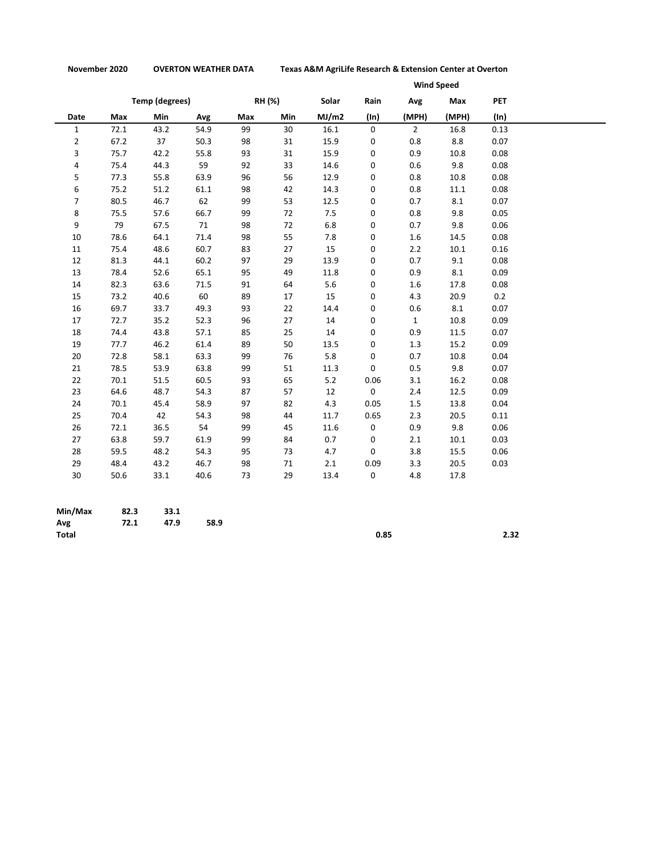**November 2020 OVERTON WEATHER DATA Texas A&M AgriLife Research & Extension Center at Overton**

|                |                       |      |      |        |     | <b>Wind Speed</b> |      |                |       |            |
|----------------|-----------------------|------|------|--------|-----|-------------------|------|----------------|-------|------------|
|                | <b>Temp (degrees)</b> |      |      | RH (%) |     | Solar             | Rain | Avg            | Max   | <b>PET</b> |
| Date           | Max                   | Min  | Avg  | Max    | Min | MJ/m2             | (ln) | (MPH)          | (MPH) | $(\ln)$    |
| $\mathbf{1}$   | 72.1                  | 43.2 | 54.9 | 99     | 30  | 16.1              | 0    | $\overline{2}$ | 16.8  | 0.13       |
| $\overline{2}$ | 67.2                  | 37   | 50.3 | 98     | 31  | 15.9              | 0    | 0.8            | 8.8   | 0.07       |
| 3              | 75.7                  | 42.2 | 55.8 | 93     | 31  | 15.9              | 0    | 0.9            | 10.8  | 0.08       |
| 4              | 75.4                  | 44.3 | 59   | 92     | 33  | 14.6              | 0    | 0.6            | 9.8   | 0.08       |
| 5              | 77.3                  | 55.8 | 63.9 | 96     | 56  | 12.9              | 0    | 0.8            | 10.8  | 0.08       |
| 6              | 75.2                  | 51.2 | 61.1 | 98     | 42  | 14.3              | 0    | 0.8            | 11.1  | 0.08       |
| $\overline{7}$ | 80.5                  | 46.7 | 62   | 99     | 53  | 12.5              | 0    | 0.7            | 8.1   | 0.07       |
| 8              | 75.5                  | 57.6 | 66.7 | 99     | 72  | 7.5               | 0    | 0.8            | 9.8   | 0.05       |
| 9              | 79                    | 67.5 | 71   | 98     | 72  | 6.8               | 0    | 0.7            | 9.8   | 0.06       |
| 10             | 78.6                  | 64.1 | 71.4 | 98     | 55  | 7.8               | 0    | 1.6            | 14.5  | 0.08       |
| 11             | 75.4                  | 48.6 | 60.7 | 83     | 27  | 15                | 0    | 2.2            | 10.1  | 0.16       |
| 12             | 81.3                  | 44.1 | 60.2 | 97     | 29  | 13.9              | 0    | 0.7            | 9.1   | 0.08       |
| 13             | 78.4                  | 52.6 | 65.1 | 95     | 49  | 11.8              | 0    | 0.9            | 8.1   | 0.09       |
| 14             | 82.3                  | 63.6 | 71.5 | 91     | 64  | 5.6               | 0    | 1.6            | 17.8  | 0.08       |
| 15             | 73.2                  | 40.6 | 60   | 89     | 17  | 15                | 0    | 4.3            | 20.9  | 0.2        |
| 16             | 69.7                  | 33.7 | 49.3 | 93     | 22  | 14.4              | 0    | 0.6            | 8.1   | 0.07       |
| 17             | 72.7                  | 35.2 | 52.3 | 96     | 27  | 14                | 0    | $\mathbf{1}$   | 10.8  | 0.09       |
| 18             | 74.4                  | 43.8 | 57.1 | 85     | 25  | 14                | 0    | 0.9            | 11.5  | 0.07       |
| 19             | 77.7                  | 46.2 | 61.4 | 89     | 50  | 13.5              | 0    | 1.3            | 15.2  | 0.09       |
| 20             | 72.8                  | 58.1 | 63.3 | 99     | 76  | 5.8               | 0    | 0.7            | 10.8  | 0.04       |
| 21             | 78.5                  | 53.9 | 63.8 | 99     | 51  | 11.3              | 0    | 0.5            | 9.8   | 0.07       |
| 22             | 70.1                  | 51.5 | 60.5 | 93     | 65  | 5.2               | 0.06 | 3.1            | 16.2  | 0.08       |
| 23             | 64.6                  | 48.7 | 54.3 | 87     | 57  | 12                | 0    | 2.4            | 12.5  | 0.09       |
| 24             | 70.1                  | 45.4 | 58.9 | 97     | 82  | 4.3               | 0.05 | 1.5            | 13.8  | 0.04       |
| 25             | 70.4                  | 42   | 54.3 | 98     | 44  | 11.7              | 0.65 | 2.3            | 20.5  | 0.11       |
| 26             | 72.1                  | 36.5 | 54   | 99     | 45  | 11.6              | 0    | 0.9            | 9.8   | 0.06       |
| 27             | 63.8                  | 59.7 | 61.9 | 99     | 84  | 0.7               | 0    | 2.1            | 10.1  | 0.03       |
| 28             | 59.5                  | 48.2 | 54.3 | 95     | 73  | 4.7               | 0    | 3.8            | 15.5  | 0.06       |
| 29             | 48.4                  | 43.2 | 46.7 | 98     | 71  | 2.1               | 0.09 | 3.3            | 20.5  | 0.03       |
| 30             | 50.6                  | 33.1 | 40.6 | 73     | 29  | 13.4              | 0    | 4.8            | 17.8  |            |

| Min/Max      | 82.3 | 33.1 |      |      |      |
|--------------|------|------|------|------|------|
| Avg          | 72.1 | 47.9 | 58.9 |      |      |
| <b>Total</b> |      |      |      | 0.85 | 2.32 |